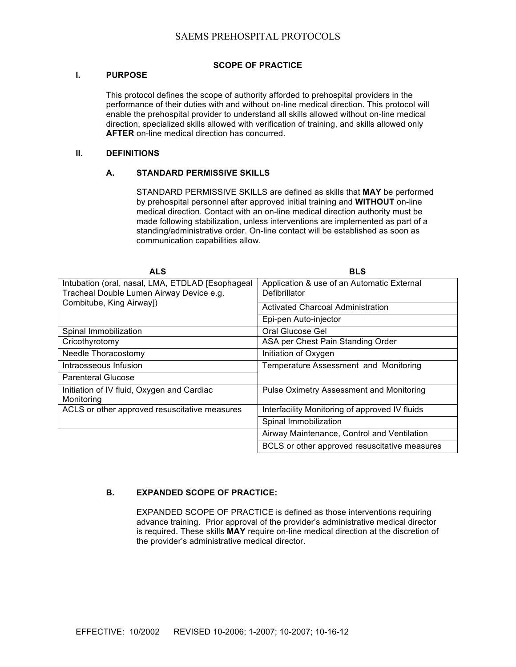# SAEMS PREHOSPITAL PROTOCOLS

## **SCOPE OF PRACTICE**

#### **I. PURPOSE**

This protocol defines the scope of authority afforded to prehospital providers in the performance of their duties with and without on-line medical direction. This protocol will enable the prehospital provider to understand all skills allowed without on-line medical direction, specialized skills allowed with verification of training, and skills allowed only **AFTER** on-line medical direction has concurred.

## **II. DEFINITIONS**

#### **A. STANDARD PERMISSIVE SKILLS**

STANDARD PERMISSIVE SKILLS are defined as skills that **MAY** be performed by prehospital personnel after approved initial training and **WITHOUT** on-line medical direction. Contact with an on-line medical direction authority must be made following stabilization, unless interventions are implemented as part of a standing/administrative order. On-line contact will be established as soon as communication capabilities allow.

| <b>ALS</b>                                                                                   | <b>BLS</b>                                                  |
|----------------------------------------------------------------------------------------------|-------------------------------------------------------------|
| Intubation (oral, nasal, LMA, ETDLAD [Esophageal<br>Tracheal Double Lumen Airway Device e.g. | Application & use of an Automatic External<br>Defibrillator |
| Combitube, King Airway])                                                                     | Activated Charcoal Administration                           |
|                                                                                              | Epi-pen Auto-injector                                       |
| Spinal Immobilization                                                                        | Oral Glucose Gel                                            |
| Cricothyrotomy                                                                               | ASA per Chest Pain Standing Order                           |
| Needle Thoracostomy                                                                          | Initiation of Oxygen                                        |
| Intraosseous Infusion                                                                        | Temperature Assessment and Monitoring                       |
| <b>Parenteral Glucose</b>                                                                    |                                                             |
| Initiation of IV fluid, Oxygen and Cardiac<br>Monitoring                                     | <b>Pulse Oximetry Assessment and Monitoring</b>             |
| ACLS or other approved resuscitative measures                                                | Interfacility Monitoring of approved IV fluids              |
|                                                                                              | Spinal Immobilization                                       |
|                                                                                              | Airway Maintenance, Control and Ventilation                 |
|                                                                                              | BCLS or other approved resuscitative measures               |

## **B. EXPANDED SCOPE OF PRACTICE:**

EXPANDED SCOPE OF PRACTICE is defined as those interventions requiring advance training. Prior approval of the provider's administrative medical director is required. These skills **MAY** require on-line medical direction at the discretion of the provider's administrative medical director.